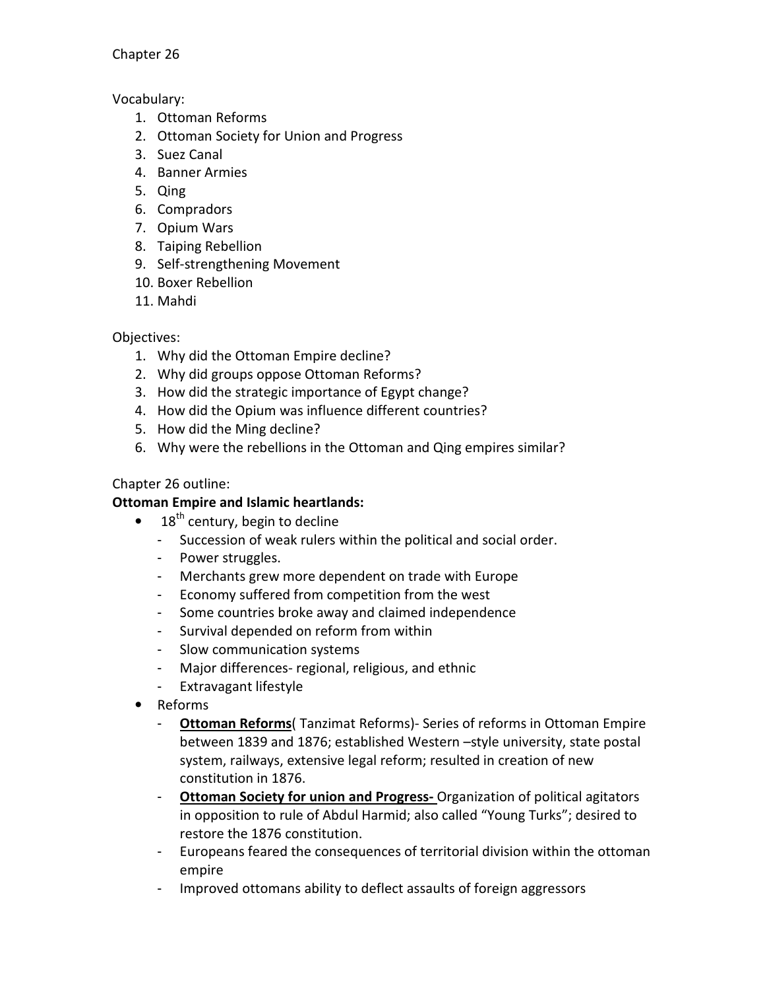Chapter 26

Vocabulary:

- 1. Ottoman Reforms
- 2. Ottoman Society for Union and Progress
- 3. Suez Canal
- 4. Banner Armies
- 5. Qing
- 6. Compradors
- 7. Opium Wars
- 8. Taiping Rebellion
- 9. Self-strengthening Movement
- 10. Boxer Rebellion
- 11. Mahdi

Objectives:

- 1. Why did the Ottoman Empire decline?
- 2. Why did groups oppose Ottoman Reforms?
- 3. How did the strategic importance of Egypt change?
- 4. How did the Opium was influence different countries?
- 5. How did the Ming decline?
- 6. Why were the rebellions in the Ottoman and Qing empires similar?

## Chapter 26 outline:

## Ottoman Empire and Islamic heartlands:

- $\bullet$  18<sup>th</sup> century, begin to decline
	- Succession of weak rulers within the political and social order.
	- Power struggles.
	- Merchants grew more dependent on trade with Europe
	- Economy suffered from competition from the west
	- Some countries broke away and claimed independence
	- Survival depended on reform from within
	- Slow communication systems
	- Major differences- regional, religious, and ethnic
	- Extravagant lifestyle
- Reforms
	- Ottoman Reforms( Tanzimat Reforms)- Series of reforms in Ottoman Empire between 1839 and 1876; established Western –style university, state postal system, railways, extensive legal reform; resulted in creation of new constitution in 1876.
	- Ottoman Society for union and Progress-Organization of political agitators in opposition to rule of Abdul Harmid; also called "Young Turks"; desired to restore the 1876 constitution.
	- Europeans feared the consequences of territorial division within the ottoman empire
	- Improved ottomans ability to deflect assaults of foreign aggressors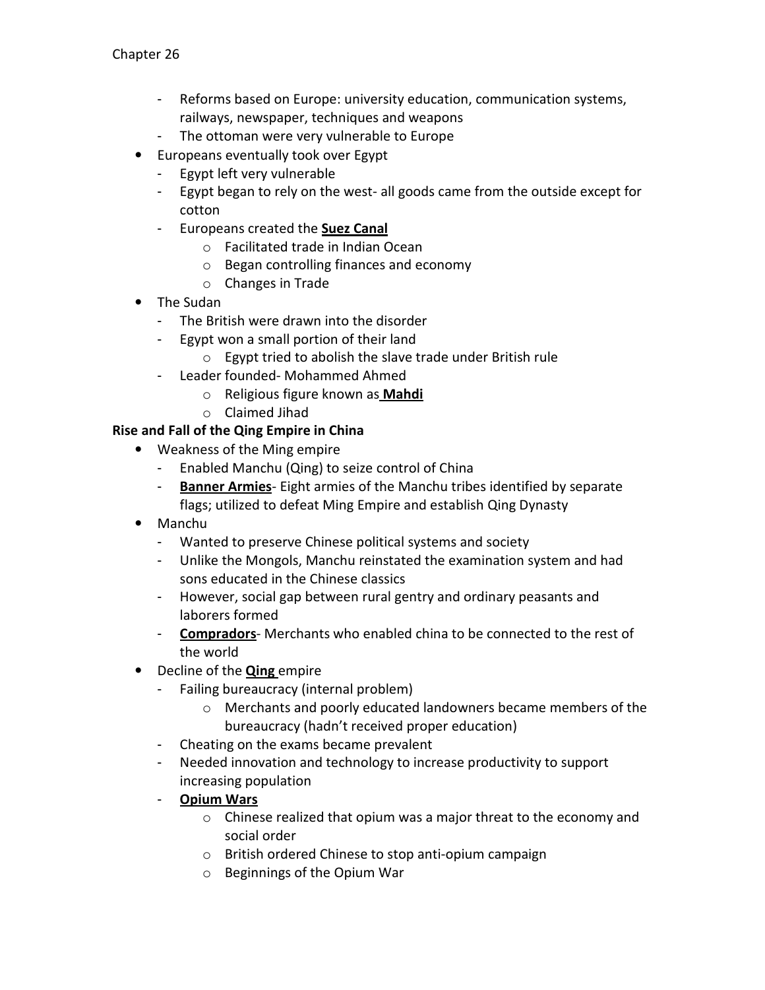- Reforms based on Europe: university education, communication systems, railways, newspaper, techniques and weapons
- The ottoman were very vulnerable to Europe
- Europeans eventually took over Egypt
	- Egypt left very vulnerable
	- Egypt began to rely on the west- all goods came from the outside except for cotton
	- Europeans created the Suez Canal
		- o Facilitated trade in Indian Ocean
		- o Began controlling finances and economy
		- o Changes in Trade
- The Sudan
	- The British were drawn into the disorder
	- Egypt won a small portion of their land
		- o Egypt tried to abolish the slave trade under British rule
	- Leader founded- Mohammed Ahmed
		- o Religious figure known as Mahdi
		- o Claimed Jihad

## Rise and Fall of the Qing Empire in China

- Weakness of the Ming empire
	- Enabled Manchu (Qing) to seize control of China
	- Banner Armies- Eight armies of the Manchu tribes identified by separate flags; utilized to defeat Ming Empire and establish Qing Dynasty
- Manchu
	- Wanted to preserve Chinese political systems and society
	- Unlike the Mongols, Manchu reinstated the examination system and had sons educated in the Chinese classics
	- However, social gap between rural gentry and ordinary peasants and laborers formed
	- Compradors- Merchants who enabled china to be connected to the rest of the world
- Decline of the **Qing** empire
	- Failing bureaucracy (internal problem)
		- o Merchants and poorly educated landowners became members of the bureaucracy (hadn't received proper education)
	- Cheating on the exams became prevalent
	- Needed innovation and technology to increase productivity to support increasing population
	- Opium Wars
		- o Chinese realized that opium was a major threat to the economy and social order
		- o British ordered Chinese to stop anti-opium campaign
		- o Beginnings of the Opium War